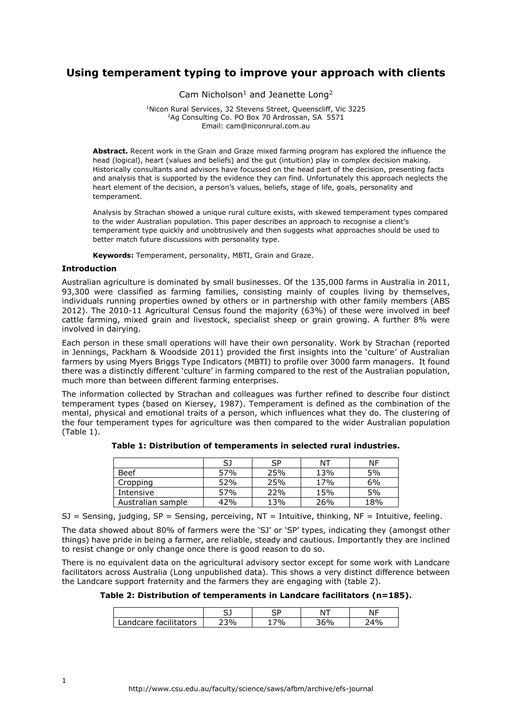# **Using temperament typing to improve your approach with clients**

Cam Nicholson<sup>1</sup> and Jeanette Long<sup>2</sup>

<sup>1</sup>Nicon Rural Services, 32 Stevens Street, Queenscliff, Vic 3225 <sup>2</sup>Ag Consulting Co. PO Box 70 Ardrossan, SA 5571 Email: cam@niconrural.com.au

**Abstract.** Recent work in the Grain and Graze mixed farming program has explored the influence the head (logical), heart (values and beliefs) and the gut (intuition) play in complex decision making. Historically consultants and advisors have focussed on the head part of the decision, presenting facts and analysis that is supported by the evidence they can find. Unfortunately this approach neglects the heart element of the decision, a person's values, beliefs, stage of life, goals, personality and temperament.

Analysis by Strachan showed a unique rural culture exists, with skewed temperament types compared to the wider Australian population. This paper describes an approach to recognise a client's temperament type quickly and unobtrusively and then suggests what approaches should be used to better match future discussions with personality type.

**Keywords:** Temperament, personality, MBTI, Grain and Graze.

### **Introduction**

Australian agriculture is dominated by small businesses. Of the 135,000 farms in Australia in 2011, 93,300 were classified as farming families, consisting mainly of couples living by themselves, individuals running properties owned by others or in partnership with other family members (ABS 2012). The 2010-11 Agricultural Census found the majority (63%) of these were involved in beef cattle farming, mixed grain and livestock, specialist sheep or grain growing. A further 8% were involved in dairying.

Each person in these small operations will have their own personality. Work by Strachan (reported in Jennings, Packham & Woodside 2011) provided the first insights into the 'culture' of Australian farmers by using Myers Briggs Type Indicators (MBTI) to profile over 3000 farm managers. It found there was a distinctly different 'culture' in farming compared to the rest of the Australian population, much more than between different farming enterprises.

The information collected by Strachan and colleagues was further refined to describe four distinct temperament types (based on Kiersey, 1987). Temperament is defined as the combination of the mental, physical and emotional traits of a person, which influences what they do. The clustering of the four temperament types for agriculture was then compared to the wider Australian population (Table 1).

|                   | SJ  | SP  | ΝT  | ΝF  |
|-------------------|-----|-----|-----|-----|
| <b>Beef</b>       | 57% | 25% | 13% | 5%  |
| Cropping          | 52% | 25% | 17% | 6%  |
| Intensive         | 57% | 22% | 15% | 5%  |
| Australian sample | 42% | 13% | 26% | 18% |

**Table 1: Distribution of temperaments in selected rural industries.**

SJ = Sensing, judging, SP = Sensing, perceiving,  $NT = Intuitive$ , thinking,  $NF = Intuitive$ , feeling.

The data showed about 80% of farmers were the 'SJ' or 'SP' types, indicating they (amongst other things) have pride in being a farmer, are reliable, steady and cautious. Importantly they are inclined to resist change or only change once there is good reason to do so.

There is no equivalent data on the agricultural advisory sector except for some work with Landcare facilitators across Australia (Long unpublished data). This shows a very distinct difference between the Landcare support fraternity and the farmers they are engaging with (table 2).

**Table 2: Distribution of temperaments in Landcare facilitators (n=185).**

|                                | ~-<br>- |    | N | $\sim$ 1 $\sim$ 1<br>יי |
|--------------------------------|---------|----|---|-------------------------|
| facilitators<br>`care i<br>nnc | 70/2    | 7% |   | 4%                      |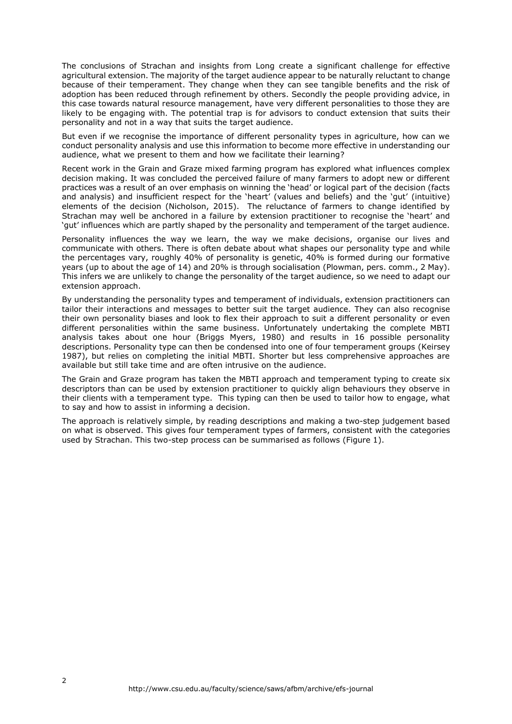The conclusions of Strachan and insights from Long create a significant challenge for effective agricultural extension. The majority of the target audience appear to be naturally reluctant to change because of their temperament. They change when they can see tangible benefits and the risk of adoption has been reduced through refinement by others. Secondly the people providing advice, in this case towards natural resource management, have very different personalities to those they are likely to be engaging with. The potential trap is for advisors to conduct extension that suits their personality and not in a way that suits the target audience.

But even if we recognise the importance of different personality types in agriculture, how can we conduct personality analysis and use this information to become more effective in understanding our audience, what we present to them and how we facilitate their learning?

Recent work in the Grain and Graze mixed farming program has explored what influences complex decision making. It was concluded the perceived failure of many farmers to adopt new or different practices was a result of an over emphasis on winning the 'head' or logical part of the decision (facts and analysis) and insufficient respect for the 'heart' (values and beliefs) and the 'gut' (intuitive) elements of the decision (Nicholson, 2015). The reluctance of farmers to change identified by Strachan may well be anchored in a failure by extension practitioner to recognise the 'heart' and 'gut' influences which are partly shaped by the personality and temperament of the target audience.

Personality influences the way we learn, the way we make decisions, organise our lives and communicate with others. There is often debate about what shapes our personality type and while the percentages vary, roughly 40% of personality is genetic, 40% is formed during our formative years (up to about the age of 14) and 20% is through socialisation (Plowman, pers. comm., 2 May). This infers we are unlikely to change the personality of the target audience, so we need to adapt our extension approach.

By understanding the personality types and temperament of individuals, extension practitioners can tailor their interactions and messages to better suit the target audience. They can also recognise their own personality biases and look to flex their approach to suit a different personality or even different personalities within the same business. Unfortunately undertaking the complete MBTI analysis takes about one hour (Briggs Myers, 1980) and results in 16 possible personality descriptions. Personality type can then be condensed into one of four temperament groups (Keirsey 1987), but relies on completing the initial MBTI. Shorter but less comprehensive approaches are available but still take time and are often intrusive on the audience.

The Grain and Graze program has taken the MBTI approach and temperament typing to create six descriptors than can be used by extension practitioner to quickly align behaviours they observe in their clients with a temperament type. This typing can then be used to tailor how to engage, what to say and how to assist in informing a decision.

The approach is relatively simple, by reading descriptions and making a two-step judgement based on what is observed. This gives four temperament types of farmers, consistent with the categories used by Strachan. This two-step process can be summarised as follows (Figure 1).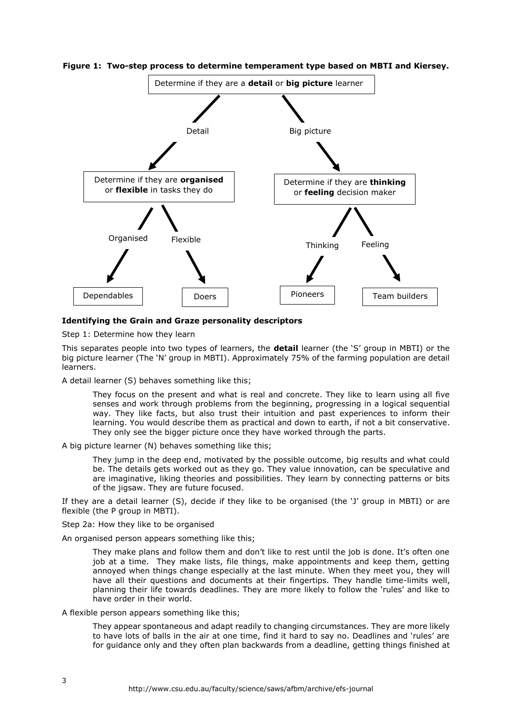

**Figure 1: Two-step process to determine temperament type based on MBTI and Kiersey.**

# **Identifying the Grain and Graze personality descriptors**

Step 1: Determine how they learn

This separates people into two types of learners, the **detail** learner (the 'S' group in MBTI) or the big picture learner (The 'N' group in MBTI). Approximately 75% of the farming population are detail learners.

A detail learner (S) behaves something like this;

They focus on the present and what is real and concrete. They like to learn using all five senses and work through problems from the beginning, progressing in a logical sequential way. They like facts, but also trust their intuition and past experiences to inform their learning. You would describe them as practical and down to earth, if not a bit conservative. They only see the bigger picture once they have worked through the parts.

A big picture learner (N) behaves something like this;

They jump in the deep end, motivated by the possible outcome, big results and what could be. The details gets worked out as they go. They value innovation, can be speculative and are imaginative, liking theories and possibilities. They learn by connecting patterns or bits of the jigsaw. They are future focused.

If they are a detail learner (S), decide if they like to be organised (the 'J' group in MBTI) or are flexible (the P group in MBTI).

Step 2a: How they like to be organised

An organised person appears something like this;

They make plans and follow them and don't like to rest until the job is done. It's often one job at a time. They make lists, file things, make appointments and keep them, getting annoyed when things change especially at the last minute. When they meet you, they will have all their questions and documents at their fingertips. They handle time-limits well, planning their life towards deadlines. They are more likely to follow the 'rules' and like to have order in their world.

A flexible person appears something like this;

They appear spontaneous and adapt readily to changing circumstances. They are more likely to have lots of balls in the air at one time, find it hard to say no. Deadlines and 'rules' are for guidance only and they often plan backwards from a deadline, getting things finished at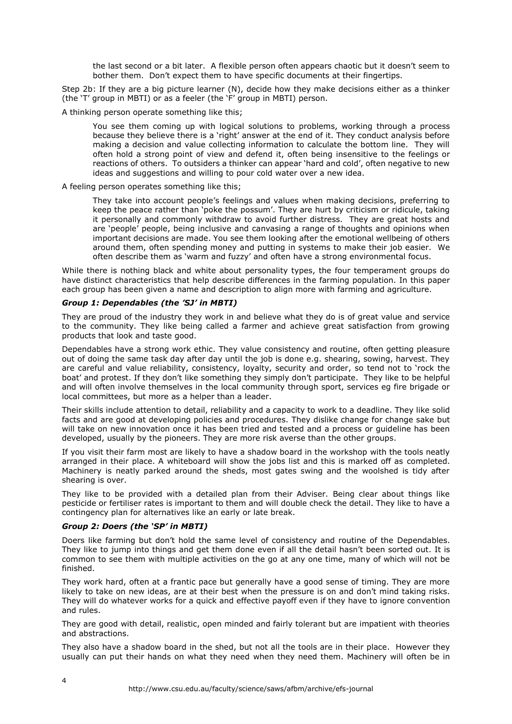the last second or a bit later. A flexible person often appears chaotic but it doesn't seem to bother them. Don't expect them to have specific documents at their fingertips.

Step 2b: If they are a big picture learner (N), decide how they make decisions either as a thinker (the 'T' group in MBTI) or as a feeler (the 'F' group in MBTI) person.

A thinking person operate something like this;

You see them coming up with logical solutions to problems, working through a process because they believe there is a 'right' answer at the end of it. They conduct analysis before making a decision and value collecting information to calculate the bottom line. They will often hold a strong point of view and defend it, often being insensitive to the feelings or reactions of others. To outsiders a thinker can appear 'hard and cold', often negative to new ideas and suggestions and willing to pour cold water over a new idea.

A feeling person operates something like this;

They take into account people's feelings and values when making decisions, preferring to keep the peace rather than 'poke the possum'. They are hurt by criticism or ridicule, taking it personally and commonly withdraw to avoid further distress. They are great hosts and are 'people' people, being inclusive and canvasing a range of thoughts and opinions when important decisions are made. You see them looking after the emotional wellbeing of others around them, often spending money and putting in systems to make their job easier. We often describe them as 'warm and fuzzy' and often have a strong environmental focus.

While there is nothing black and white about personality types, the four temperament groups do have distinct characteristics that help describe differences in the farming population. In this paper each group has been given a name and description to align more with farming and agriculture.

### *Group 1: Dependables (the 'SJ' in MBTI)*

They are proud of the industry they work in and believe what they do is of great value and service to the community. They like being called a farmer and achieve great satisfaction from growing products that look and taste good.

Dependables have a strong work ethic. They value consistency and routine, often getting pleasure out of doing the same task day after day until the job is done e.g. shearing, sowing, harvest. They are careful and value reliability, consistency, loyalty, security and order, so tend not to 'rock the boat' and protest. If they don't like something they simply don't participate. They like to be helpful and will often involve themselves in the local community through sport, services eg fire brigade or local committees, but more as a helper than a leader.

Their skills include attention to detail, reliability and a capacity to work to a deadline. They like solid facts and are good at developing policies and procedures. They dislike change for change sake but will take on new innovation once it has been tried and tested and a process or guideline has been developed, usually by the pioneers. They are more risk averse than the other groups.

If you visit their farm most are likely to have a shadow board in the workshop with the tools neatly arranged in their place. A whiteboard will show the jobs list and this is marked off as completed. Machinery is neatly parked around the sheds, most gates swing and the woolshed is tidy after shearing is over.

They like to be provided with a detailed plan from their Adviser. Being clear about things like pesticide or fertiliser rates is important to them and will double check the detail. They like to have a contingency plan for alternatives like an early or late break.

### *Group 2: Doers (the 'SP' in MBTI)*

Doers like farming but don't hold the same level of consistency and routine of the Dependables. They like to jump into things and get them done even if all the detail hasn't been sorted out. It is common to see them with multiple activities on the go at any one time, many of which will not be finished.

They work hard, often at a frantic pace but generally have a good sense of timing. They are more likely to take on new ideas, are at their best when the pressure is on and don't mind taking risks. They will do whatever works for a quick and effective payoff even if they have to ignore convention and rules.

They are good with detail, realistic, open minded and fairly tolerant but are impatient with theories and abstractions.

They also have a shadow board in the shed, but not all the tools are in their place. However they usually can put their hands on what they need when they need them. Machinery will often be in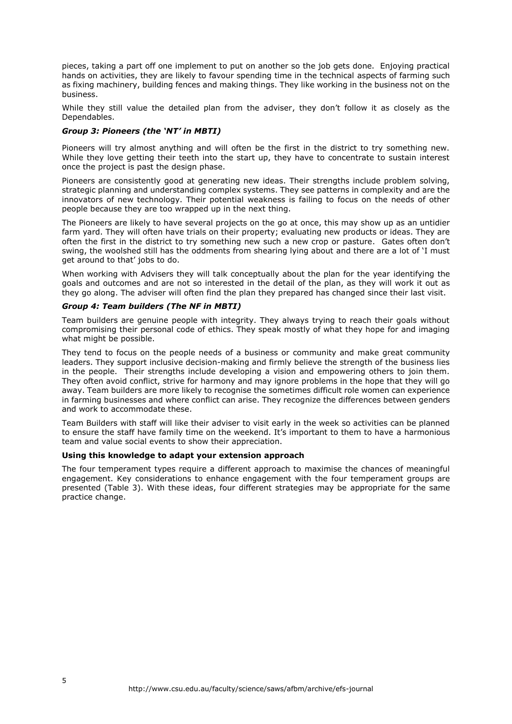pieces, taking a part off one implement to put on another so the job gets done. Enjoying practical hands on activities, they are likely to favour spending time in the technical aspects of farming such as fixing machinery, building fences and making things. They like working in the business not on the business.

While they still value the detailed plan from the adviser, they don't follow it as closely as the Dependables.

### *Group 3: Pioneers (the 'NT' in MBTI)*

Pioneers will try almost anything and will often be the first in the district to try something new. While they love getting their teeth into the start up, they have to concentrate to sustain interest once the project is past the design phase.

Pioneers are consistently good at generating new ideas. Their strengths include problem solving, strategic planning and understanding complex systems. They see patterns in complexity and are the innovators of new technology. Their potential weakness is failing to focus on the needs of other people because they are too wrapped up in the next thing.

The Pioneers are likely to have several projects on the go at once, this may show up as an untidier farm yard. They will often have trials on their property; evaluating new products or ideas. They are often the first in the district to try something new such a new crop or pasture. Gates often don't swing, the woolshed still has the oddments from shearing lying about and there are a lot of 'I must get around to that' jobs to do.

When working with Advisers they will talk conceptually about the plan for the year identifying the goals and outcomes and are not so interested in the detail of the plan, as they will work it out as they go along. The adviser will often find the plan they prepared has changed since their last visit.

# *Group 4: Team builders (The NF in MBTI)*

Team builders are genuine people with integrity. They always trying to reach their goals without compromising their personal code of ethics. They speak mostly of what they hope for and imaging what might be possible.

They tend to focus on the people needs of a business or community and make great community leaders. They support inclusive decision-making and firmly believe the strength of the business lies in the people. Their strengths include developing a vision and empowering others to join them. They often avoid conflict, strive for harmony and may ignore problems in the hope that they will go away. Team builders are more likely to recognise the sometimes difficult role women can experience in farming businesses and where conflict can arise. They recognize the differences between genders and work to accommodate these.

Team Builders with staff will like their adviser to visit early in the week so activities can be planned to ensure the staff have family time on the weekend. It's important to them to have a harmonious team and value social events to show their appreciation.

# **Using this knowledge to adapt your extension approach**

The four temperament types require a different approach to maximise the chances of meaningful engagement. Key considerations to enhance engagement with the four temperament groups are presented (Table 3). With these ideas, four different strategies may be appropriate for the same practice change.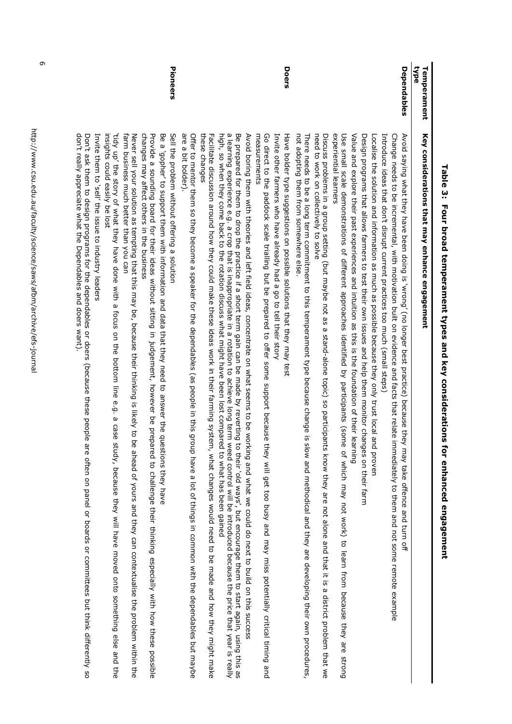| ad/1<br>Temperament | Key considerations that may enhance engagement                                                                                                                                                                                                                                                                                                                                                                                                       |
|---------------------|------------------------------------------------------------------------------------------------------------------------------------------------------------------------------------------------------------------------------------------------------------------------------------------------------------------------------------------------------------------------------------------------------------------------------------------------------|
| Dependables         | Change needs to be incremental, with motivation built on evidence and facts that relate immediately to them and not some remote example<br>Avoid saying what they have been doing is `wrong' (no longer best practice) because the<br>y may take offence and turn off                                                                                                                                                                                |
|                     | Localise the solution and information as much as possible because they only trust local and proven<br>Introduce ideas that don't disrupt current practices too much (small steps)                                                                                                                                                                                                                                                                    |
|                     | Design programs that allows farmers to test their own issues and help them monitor changes on their farm                                                                                                                                                                                                                                                                                                                                             |
|                     | Value and exxholor their leading to the top same and interition and their system of the system of their leading                                                                                                                                                                                                                                                                                                                                      |
|                     | experiential learners<br>Use small scale demonstrations of different approaches identified by participants (some of which may not wonk) to learn from because they are strong                                                                                                                                                                                                                                                                        |
|                     | need to work on collectively to solve<br>Discuss problems in a group setting (but maybe not as a stand-alone topic) so participants know they are not alone and that it is a district problem that we                                                                                                                                                                                                                                                |
|                     | not adopting them from somewhere else<br>There needs to be a long term commitment to this temperament type because change is<br>slow and methodical and they are developing their own procedures,                                                                                                                                                                                                                                                    |
| Doers               | Have bolder type suggestions on possible solutions that they may test<br>Invite other farmers who have already had a go to tell their story                                                                                                                                                                                                                                                                                                          |
|                     | Go direct to the paddock scale trialling but be prepared to offer some support because<br>measurements<br>they will get too busy and may miss potentially critical timing and                                                                                                                                                                                                                                                                        |
|                     | Avoid poring them with theories and left field ideas, concentrate on what seems to be working and what we could do next to build on this success                                                                                                                                                                                                                                                                                                     |
|                     | a learning experience e.g. a crop that is inappropriate in a rotation to achieve long term<br>Be prepared for them to drop the practice if a short term gain can be made by reverting<br>high, so what has back to the rotation discuss what might have been lost compared to what has been gained<br>weed control will be introduced because the price that year is really<br>to their 'old ways', but encourage them to start again, using this as |
|                     | these changes<br>Pacilitatio discossion around how they collid make these side as work in their farminal system<br>m, what changes would need to be made and how they might make                                                                                                                                                                                                                                                                     |
|                     | are a bit bolder).<br>Offer to mentor them so they become a speaker for the dependables (as people in this group have a lot of things in common with the dependables but maybe                                                                                                                                                                                                                                                                       |
| Pioneers            | Be a yopher, to schoot them skitch jierramics and data that the vector and data to positions they be down the p<br>Sell the problem without offering a solution                                                                                                                                                                                                                                                                                      |
|                     | changes may affect others in the business<br>Provide a sounding board for their ideas without sitting in judgement, however be prepared to challenge their thinking especially with how these possible                                                                                                                                                                                                                                               |
|                     | farm business much better than you can<br>Never sell, likis is in the set of the state of the section of the state is in this signal of $\sigma$<br>e ahead of yours and they can contextualise the problem within the                                                                                                                                                                                                                               |
|                     | 'tidy up' the story of what they have done with a<br>insights could easily be lost<br>focus on the bottom line e.g. a<br>case<br>study, because they will have moved onto something else and the                                                                                                                                                                                                                                                     |
|                     | Invite them to 'sell' the issue to industry leaders                                                                                                                                                                                                                                                                                                                                                                                                  |
|                     | don't really appreciate what the Dependables and doers want).<br>Don't ask them to design programs for the dependables or doers (because these people<br>are often on panel or boards or committees but think differently so                                                                                                                                                                                                                         |
|                     |                                                                                                                                                                                                                                                                                                                                                                                                                                                      |

# Table 3: Four broad temperament types and key considerations for enhanced engagement **Table 3: Four broad temperament types and key considerations for enhanced engagement**

6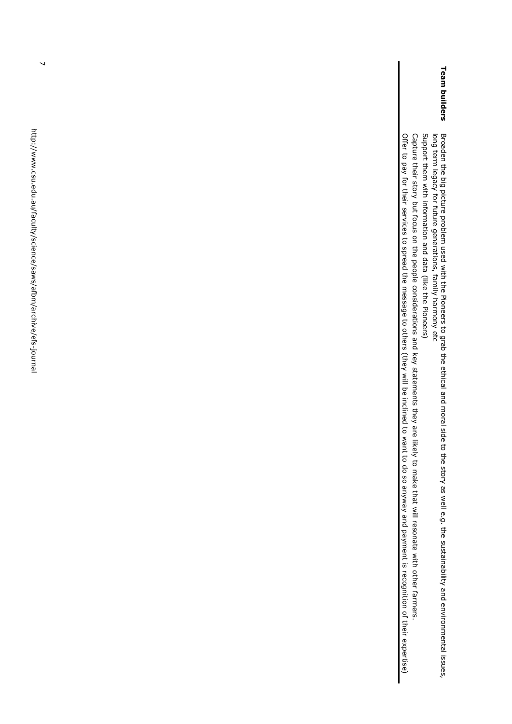$\overline{\phantom{0}}$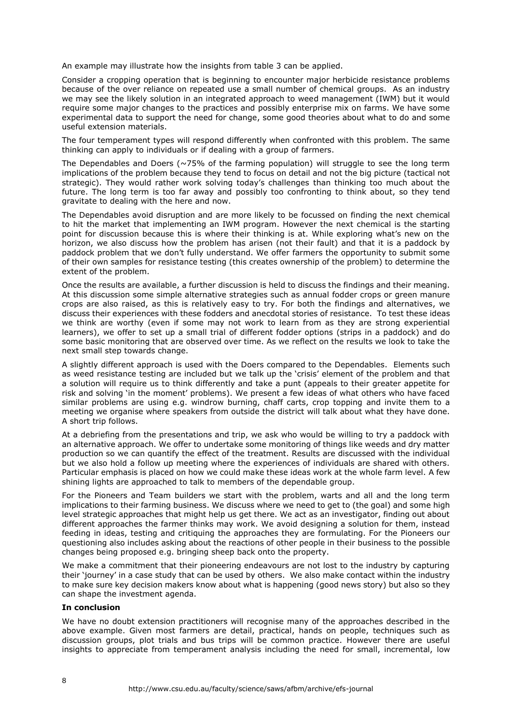An example may illustrate how the insights from table 3 can be applied.

Consider a cropping operation that is beginning to encounter major herbicide resistance problems because of the over reliance on repeated use a small number of chemical groups. As an industry we may see the likely solution in an integrated approach to weed management (IWM) but it would require some major changes to the practices and possibly enterprise mix on farms. We have some experimental data to support the need for change, some good theories about what to do and some useful extension materials.

The four temperament types will respond differently when confronted with this problem. The same thinking can apply to individuals or if dealing with a group of farmers.

The Dependables and Doers ( $\sim$ 75% of the farming population) will struggle to see the long term implications of the problem because they tend to focus on detail and not the big picture (tactical not strategic). They would rather work solving today's challenges than thinking too much about the future. The long term is too far away and possibly too confronting to think about, so they tend gravitate to dealing with the here and now.

The Dependables avoid disruption and are more likely to be focussed on finding the next chemical to hit the market that implementing an IWM program. However the next chemical is the starting point for discussion because this is where their thinking is at. While exploring what's new on the horizon, we also discuss how the problem has arisen (not their fault) and that it is a paddock by paddock problem that we don't fully understand. We offer farmers the opportunity to submit some of their own samples for resistance testing (this creates ownership of the problem) to determine the extent of the problem.

Once the results are available, a further discussion is held to discuss the findings and their meaning. At this discussion some simple alternative strategies such as annual fodder crops or green manure crops are also raised, as this is relatively easy to try. For both the findings and alternatives, we discuss their experiences with these fodders and anecdotal stories of resistance. To test these ideas we think are worthy (even if some may not work to learn from as they are strong experiential learners), we offer to set up a small trial of different fodder options (strips in a paddock) and do some basic monitoring that are observed over time. As we reflect on the results we look to take the next small step towards change.

A slightly different approach is used with the Doers compared to the Dependables. Elements such as weed resistance testing are included but we talk up the 'crisis' element of the problem and that a solution will require us to think differently and take a punt (appeals to their greater appetite for risk and solving 'in the moment' problems). We present a few ideas of what others who have faced similar problems are using e.g. windrow burning, chaff carts, crop topping and invite them to a meeting we organise where speakers from outside the district will talk about what they have done. A short trip follows.

At a debriefing from the presentations and trip, we ask who would be willing to try a paddock with an alternative approach. We offer to undertake some monitoring of things like weeds and dry matter production so we can quantify the effect of the treatment. Results are discussed with the individual but we also hold a follow up meeting where the experiences of individuals are shared with others. Particular emphasis is placed on how we could make these ideas work at the whole farm level. A few shining lights are approached to talk to members of the dependable group.

For the Pioneers and Team builders we start with the problem, warts and all and the long term implications to their farming business. We discuss where we need to get to (the goal) and some high level strategic approaches that might help us get there. We act as an investigator, finding out about different approaches the farmer thinks may work. We avoid designing a solution for them, instead feeding in ideas, testing and critiquing the approaches they are formulating. For the Pioneers our questioning also includes asking about the reactions of other people in their business to the possible changes being proposed e.g. bringing sheep back onto the property.

We make a commitment that their pioneering endeavours are not lost to the industry by capturing their 'journey' in a case study that can be used by others. We also make contact within the industry to make sure key decision makers know about what is happening (good news story) but also so they can shape the investment agenda.

# **In conclusion**

We have no doubt extension practitioners will recognise many of the approaches described in the above example. Given most farmers are detail, practical, hands on people, techniques such as discussion groups, plot trials and bus trips will be common practice. However there are useful insights to appreciate from temperament analysis including the need for small, incremental, low